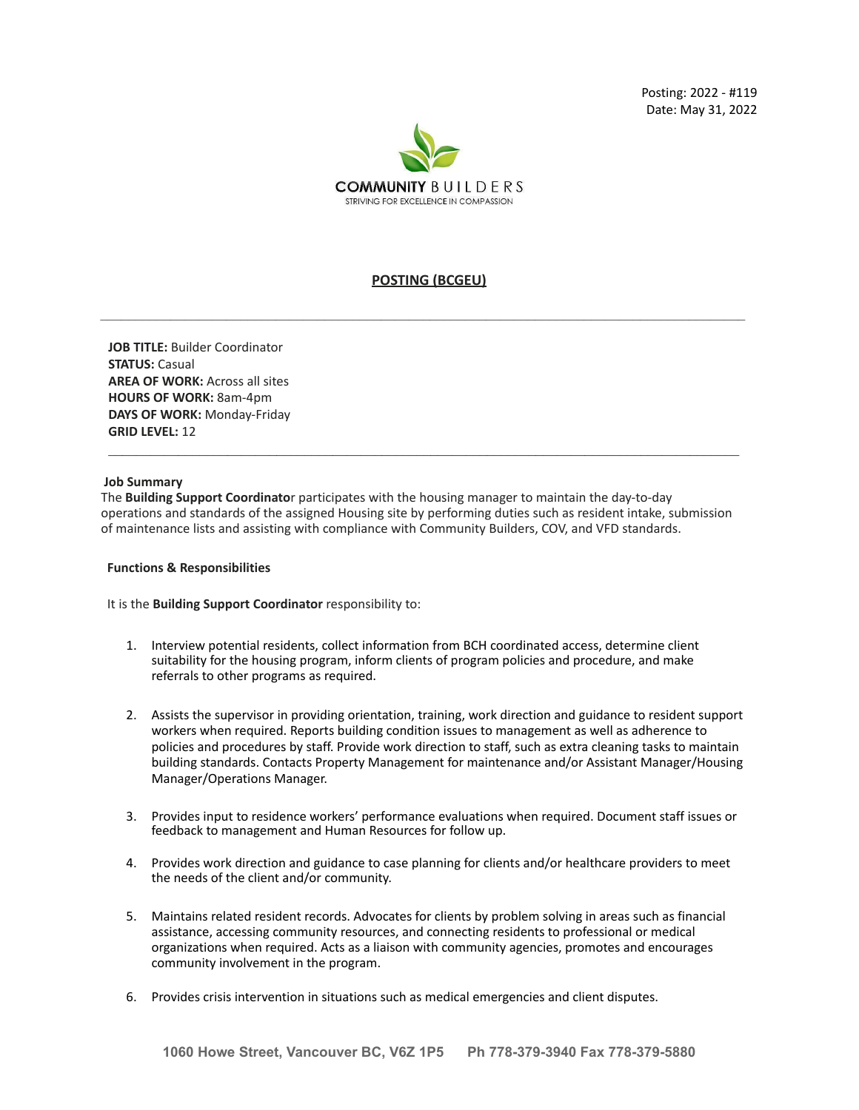

# **POSTING (BCGEU)**

**JOB TITLE:** Builder Coordinator **STATUS:** Casual **AREA OF WORK:** Across all sites **HOURS OF WORK:** 8am-4pm **DAYS OF WORK:** Monday-Friday **GRID LEVEL:** 12

### **Job Summary**

The **Building Support Coordinato**r participates with the housing manager to maintain the day-to-day operations and standards of the assigned Housing site by performing duties such as resident intake, submission of maintenance lists and assisting with compliance with Community Builders, COV, and VFD standards.

 $\mathcal{L}_\mathcal{L} = \{ \mathcal{L}_\mathcal{L} = \{ \mathcal{L}_\mathcal{L} = \{ \mathcal{L}_\mathcal{L} = \{ \mathcal{L}_\mathcal{L} = \{ \mathcal{L}_\mathcal{L} = \{ \mathcal{L}_\mathcal{L} = \{ \mathcal{L}_\mathcal{L} = \{ \mathcal{L}_\mathcal{L} = \{ \mathcal{L}_\mathcal{L} = \{ \mathcal{L}_\mathcal{L} = \{ \mathcal{L}_\mathcal{L} = \{ \mathcal{L}_\mathcal{L} = \{ \mathcal{L}_\mathcal{L} = \{ \mathcal{L}_\mathcal{$ 

#### **Functions & Responsibilities**

It is the **Building Support Coordinator** responsibility to:

- 1. Interview potential residents, collect information from BCH coordinated access, determine client suitability for the housing program, inform clients of program policies and procedure, and make referrals to other programs as required.
- 2. Assists the supervisor in providing orientation, training, work direction and guidance to resident support workers when required. Reports building condition issues to management as well as adherence to policies and procedures by staff. Provide work direction to staff, such as extra cleaning tasks to maintain building standards. Contacts Property Management for maintenance and/or Assistant Manager/Housing Manager/Operations Manager.
- 3. Provides input to residence workers' performance evaluations when required. Document staff issues or feedback to management and Human Resources for follow up.
- 4. Provides work direction and guidance to case planning for clients and/or healthcare providers to meet the needs of the client and/or community.
- 5. Maintains related resident records. Advocates for clients by problem solving in areas such as financial assistance, accessing community resources, and connecting residents to professional or medical organizations when required. Acts as a liaison with community agencies, promotes and encourages community involvement in the program.
- 6. Provides crisis intervention in situations such as medical emergencies and client disputes.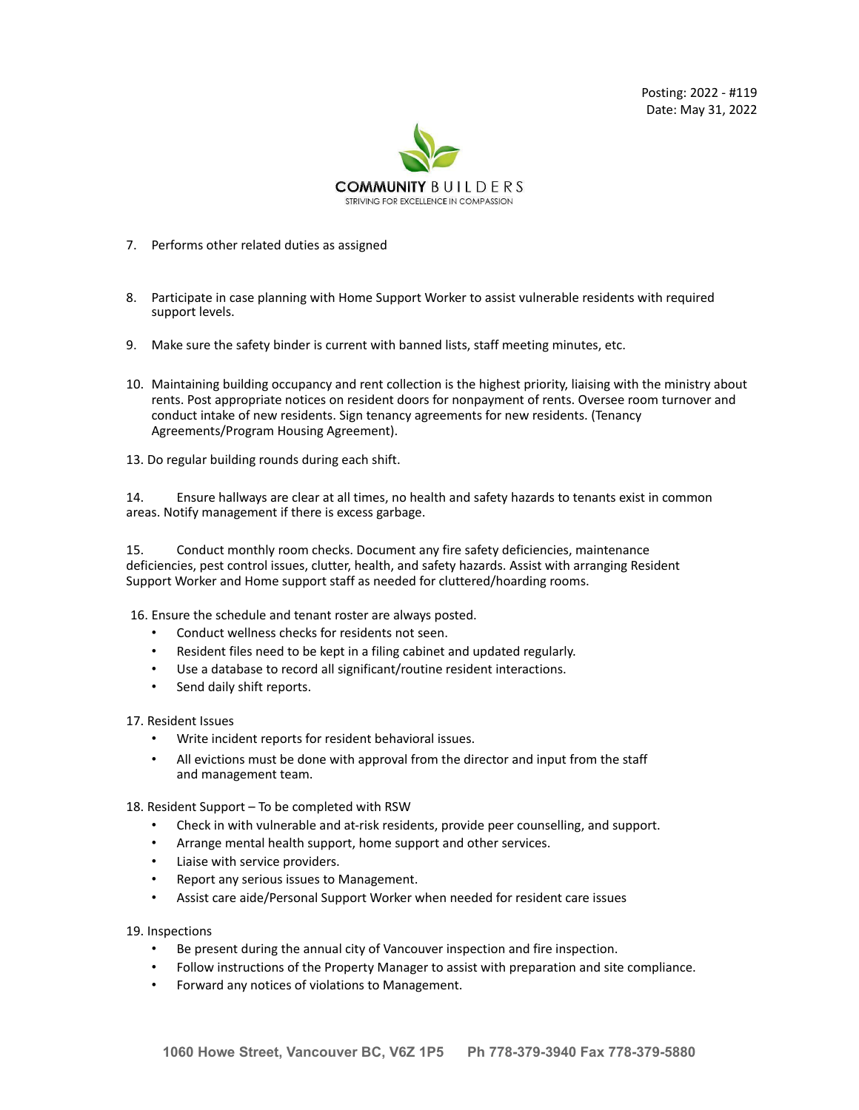Posting: 2022 - #119 Date: May 31, 2022



- 7. Performs other related duties as assigned
- 8. Participate in case planning with Home Support Worker to assist vulnerable residents with required support levels.
- 9. Make sure the safety binder is current with banned lists, staff meeting minutes, etc.
- 10. Maintaining building occupancy and rent collection is the highest priority, liaising with the ministry about rents. Post appropriate notices on resident doors for nonpayment of rents. Oversee room turnover and conduct intake of new residents. Sign tenancy agreements for new residents. (Tenancy Agreements/Program Housing Agreement).
- 13. Do regular building rounds during each shift.

14. Ensure hallways are clear at all times, no health and safety hazards to tenants exist in common areas. Notify management if there is excess garbage.

15. Conduct monthly room checks. Document any fire safety deficiencies, maintenance deficiencies, pest control issues, clutter, health, and safety hazards. Assist with arranging Resident Support Worker and Home support staff as needed for cluttered/hoarding rooms.

16. Ensure the schedule and tenant roster are always posted.

- Conduct wellness checks for residents not seen.
- Resident files need to be kept in a filing cabinet and updated regularly.
- Use a database to record all significant/routine resident interactions.
- Send daily shift reports.

17. Resident Issues

- Write incident reports for resident behavioral issues.
- All evictions must be done with approval from the director and input from the staff and management team.

18. Resident Support – To be completed with RSW

- Check in with vulnerable and at-risk residents, provide peer counselling, and support.
- Arrange mental health support, home support and other services.
- Liaise with service providers.
- Report any serious issues to Management.
- Assist care aide/Personal Support Worker when needed for resident care issues

19. Inspections

- Be present during the annual city of Vancouver inspection and fire inspection.
- Follow instructions of the Property Manager to assist with preparation and site compliance.
- Forward any notices of violations to Management.